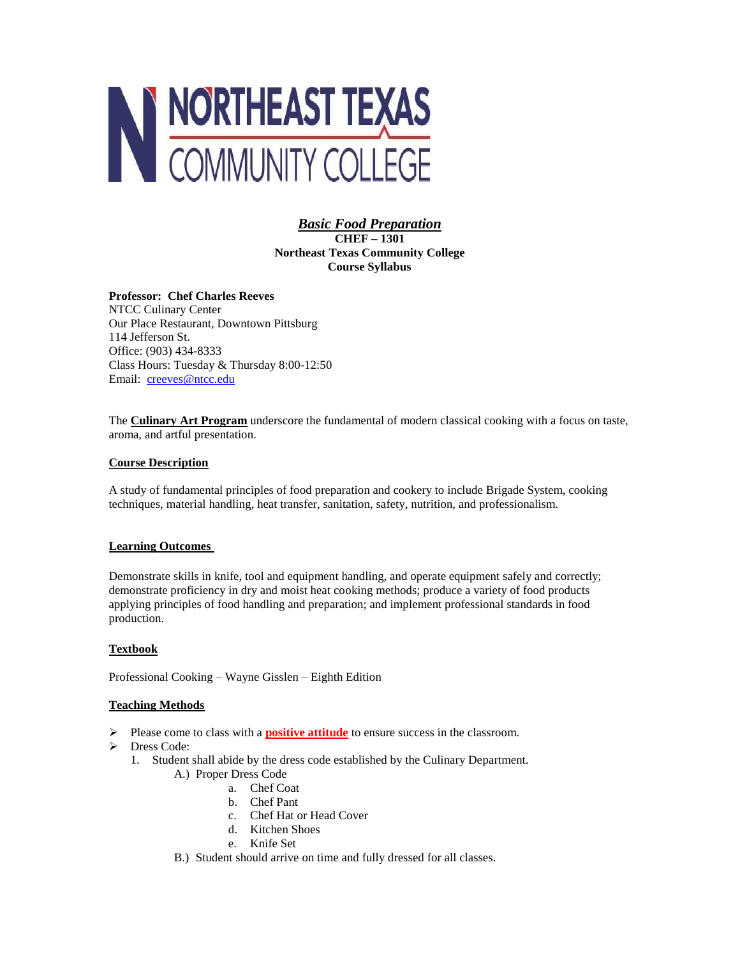

*Basic Food Preparation* **CHEF – 1301 Northeast Texas Community College Course Syllabus**

**Professor: Chef Charles Reeves** NTCC Culinary Center Our Place Restaurant, Downtown Pittsburg 114 Jefferson St. Office: (903) 434-8333 Class Hours: Tuesday & Thursday 8:00-12:50 Email: [creeves@ntcc.edu](mailto:creeves@ntcc.edu)

The **Culinary Art Program** underscore the fundamental of modern classical cooking with a focus on taste, aroma, and artful presentation.

### **Course Description**

A study of fundamental principles of food preparation and cookery to include Brigade System, cooking techniques, material handling, heat transfer, sanitation, safety, nutrition, and professionalism.

### **Learning Outcomes**

Demonstrate skills in knife, tool and equipment handling, and operate equipment safely and correctly; demonstrate proficiency in dry and moist heat cooking methods; produce a variety of food products applying principles of food handling and preparation; and implement professional standards in food production.

### **Textbook**

Professional Cooking – Wayne Gisslen – Eighth Edition

### **Teaching Methods**

- Please come to class with a **positive attitude** to ensure success in the classroom.
- > Dress Code:
	- 1. Student shall abide by the dress code established by the Culinary Department.
		- A.) Proper Dress Code
			- a. Chef Coat
			- b. Chef Pant
			- c. Chef Hat or Head Cover
			- d. Kitchen Shoes
			- e. Knife Set
		- B.) Student should arrive on time and fully dressed for all classes.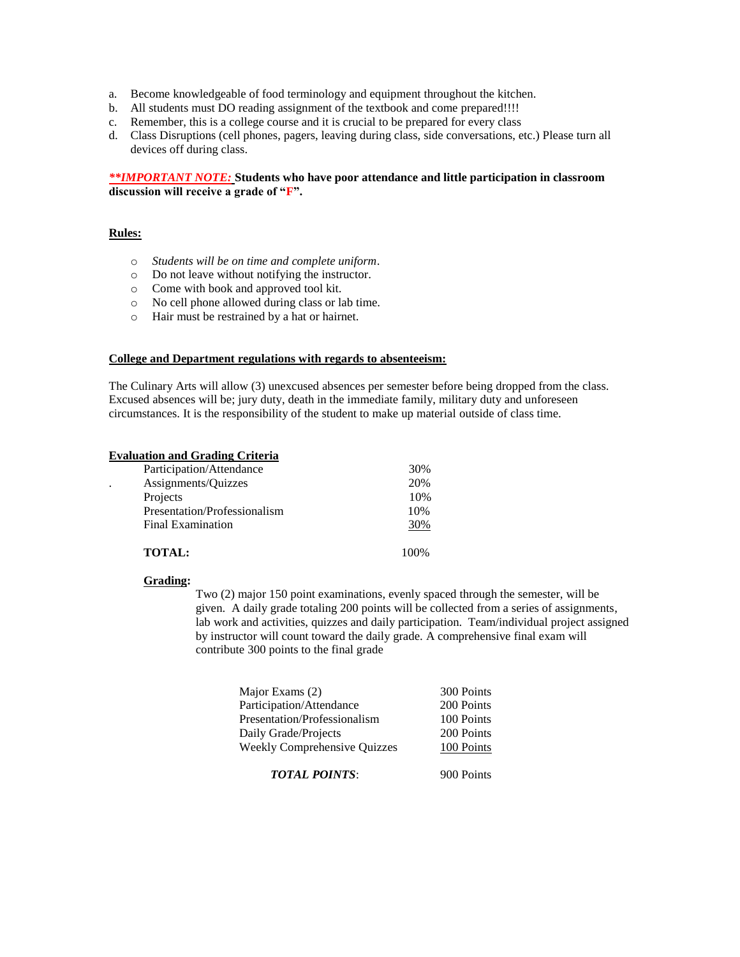- a. Become knowledgeable of food terminology and equipment throughout the kitchen.
- b. All students must DO reading assignment of the textbook and come prepared!!!!
- c. Remember, this is a college course and it is crucial to be prepared for every class
- d. Class Disruptions (cell phones, pagers, leaving during class, side conversations, etc.) Please turn all devices off during class.

### *\*\*IMPORTANT NOTE:* **Students who have poor attendance and little participation in classroom discussion will receive a grade of "F".**

### **Rules:**

- o *Students will be on time and complete uniform*.
- o Do not leave without notifying the instructor.
- o Come with book and approved tool kit.
- o No cell phone allowed during class or lab time.
- o Hair must be restrained by a hat or hairnet.

#### **College and Department regulations with regards to absenteeism:**

The Culinary Arts will allow (3) unexcused absences per semester before being dropped from the class. Excused absences will be; jury duty, death in the immediate family, military duty and unforeseen circumstances. It is the responsibility of the student to make up material outside of class time.

### **Evaluation and Grading Criteria**

| Participation/Attendance     | 30% |
|------------------------------|-----|
| Assignments/Quizzes          | 20% |
| Projects                     | 10% |
| Presentation/Professionalism | 10% |
| <b>Final Examination</b>     | 30% |
| TOTAL:                       |     |

## **Grading:**

Two (2) major 150 point examinations, evenly spaced through the semester, will be given. A daily grade totaling 200 points will be collected from a series of assignments, lab work and activities, quizzes and daily participation. Team/individual project assigned by instructor will count toward the daily grade. A comprehensive final exam will contribute 300 points to the final grade

| Major Exams (2)                     | 300 Points |
|-------------------------------------|------------|
| Participation/Attendance            | 200 Points |
| Presentation/Professionalism        | 100 Points |
| Daily Grade/Projects                | 200 Points |
| <b>Weekly Comprehensive Quizzes</b> | 100 Points |
| <b>TOTAL POINTS:</b>                | 900 Points |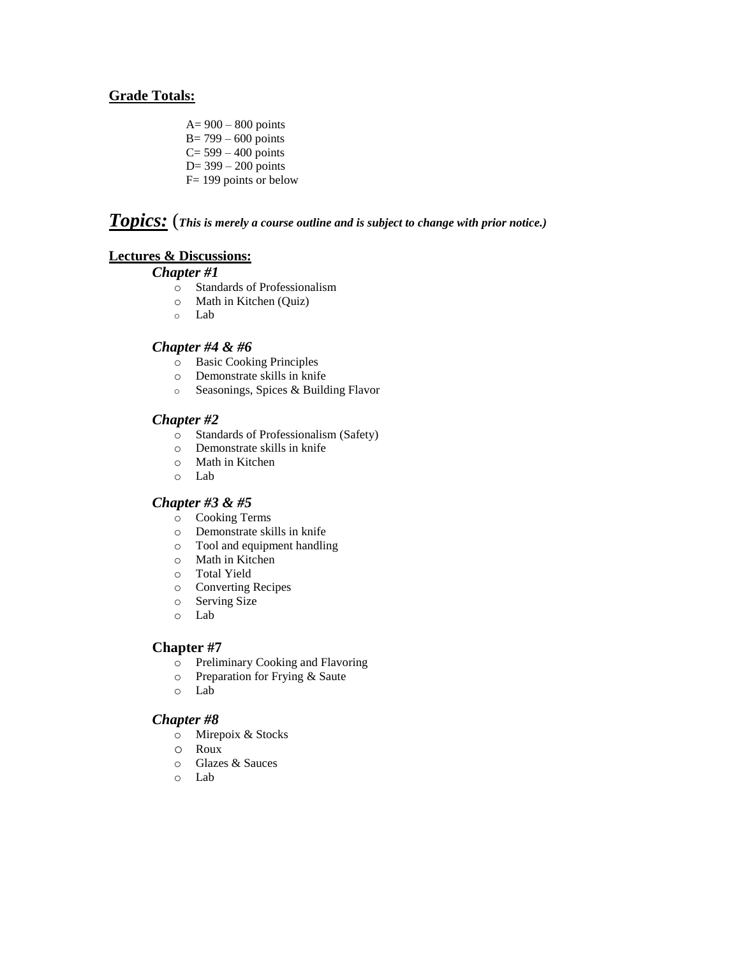## **Grade Totals:**

- A= 900 800 points
- B= 799 600 points
- $C = 599 400$  points
- D= 399 200 points
- F= 199 points or below

# *Topics:* (*This is merely a course outline and is subject to change with prior notice.)*

## **Lectures & Discussions:**

## *Chapter #1*

- o Standards of Professionalism
- o Math in Kitchen (Quiz)
- o Lab

## *Chapter #4 & #6*

- o Basic Cooking Principles
- o Demonstrate skills in knife
- o Seasonings, Spices & Building Flavor

## *Chapter #2*

- o Standards of Professionalism (Safety)
- o Demonstrate skills in knife
- o Math in Kitchen
- o Lab

## *Chapter #3 & #5*

- o Cooking Terms
- o Demonstrate skills in knife
- o Tool and equipment handling
- o Math in Kitchen
- o Total Yield
- o Converting Recipes
- o Serving Size
- o Lab

## **Chapter #7**

- o Preliminary Cooking and Flavoring
- o Preparation for Frying & Saute
- o Lab

## *Chapter #8*

- o Mirepoix & Stocks
- o Roux
- o Glazes & Sauces
- o Lab